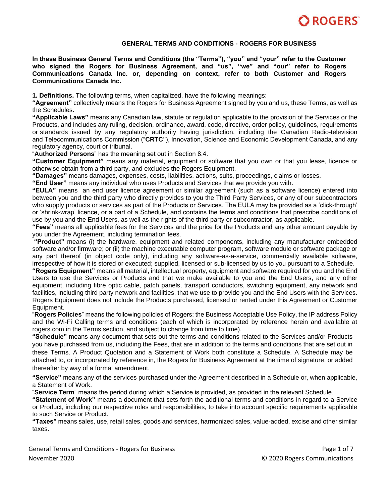

#### **GENERAL TERMS AND CONDITIONS - ROGERS FOR BUSINESS**

**In these Business General Terms and Conditions (the "Terms"), "you" and "your" refer to the Customer who signed the Rogers for Business Agreement, and "us", "we" and "our" refer to Rogers Communications Canada Inc. or, depending on context, refer to both Customer and Rogers Communications Canada Inc.**

**1. Definitions.** The following terms, when capitalized, have the following meanings:

**"Agreement"** collectively means the Rogers for Business Agreement signed by you and us, these Terms, as well as the Schedules.

**"Applicable Laws"** means any Canadian law, statute or regulation applicable to the provision of the Services or the Products, and includes any ruling, decision, ordinance, award, code, directive, order policy, guidelines, requirements or standards issued by any regulatory authority having jurisdiction, including the Canadian Radio-television and Telecommunications Commission ("**CRTC**''), Innovation, Science and Economic Development Canada, and any regulatory agency, court or tribunal.

"**Authorized Persons**" has the meaning set out in Section 8.4.

**"Customer Equipment"** means any material, equipment or software that you own or that you lease, licence or otherwise obtain from a third party, and excludes the Rogers Equipment.

**"Damages"** means damages, expenses, costs, liabilities, actions, suits, proceedings, claims or losses.

**"End User"** means any individual who uses Products and Services that we provide you with.

**"EULA"** means an end user licence agreement or similar agreement (such as a software licence) entered into between you and the third party who directly provides to you the Third Party Services, or any of our subcontractors who supply products or services as part of the Products or Services. The EULA may be provided as a 'click-through' or 'shrink-wrap' licence, or a part of a Schedule, and contains the terms and conditions that prescribe conditions of use by you and the End Users, as well as the rights of the third party or subcontractor, as applicable.

**"Fees"** means all applicable fees for the Services and the price for the Products and any other amount payable by you under the Agreement, including termination fees.

**"Product"** means (i) the hardware, equipment and related components, including any manufacturer embedded software and/or firmware; or (ii) the machine executable computer program, software module or software package or any part thereof (in object code only), including any software-as-a-service, commercially available software, irrespective of how it is stored or executed; supplied, licensed or sub-licensed by us to you pursuant to a Schedule.

**"Rogers Equipment"** means all material, intellectual property, equipment and software required for you and the End Users to use the Services or Products and that we make available to you and the End Users, and any other equipment, including fibre optic cable, patch panels, transport conductors, switching equipment, any network and facilities, including third party network and facilities, that we use to provide you and the End Users with the Services. Rogers Equipment does not include the Products purchased, licensed or rented under this Agreement or Customer Equipment.

"**Rogers Policies**" means the following policies of Rogers: the Business Acceptable Use Policy, the IP address Policy and the Wi-Fi Calling terms and conditions (each of which is incorporated by reference herein and available at rogers.com in the Terms section, and subject to change from time to time).

**"Schedule"** means any document that sets out the terms and conditions related to the Services and/or Products you have purchased from us, including the Fees, that are in addition to the terms and conditions that are set out in these Terms. A Product Quotation and a Statement of Work both constitute a Schedule. A Schedule may be attached to, or incorporated by reference in, the Rogers for Business Agreement at the time of signature, or added thereafter by way of a formal amendment.

**"Service"** means any of the services purchased under the Agreement described in a Schedule or, when applicable, a Statement of Work.

"**Service Term**" means the period during which a Service is provided, as provided in the relevant Schedule.

**"Statement of Work"** means a document that sets forth the additional terms and conditions in regard to a Service or Product, including our respective roles and responsibilities, to take into account specific requirements applicable to such Service or Product.

**"Taxes"** means sales, use, retail sales, goods and services, harmonized sales, value-added, excise and other similar taxes.

General Terms and Conditions - Rogers for Business **Page 1 of 7** and 2008 and 2008 and 2008 and 2008 and 2008 and 200 November 2020 © 2020 Rogers Communications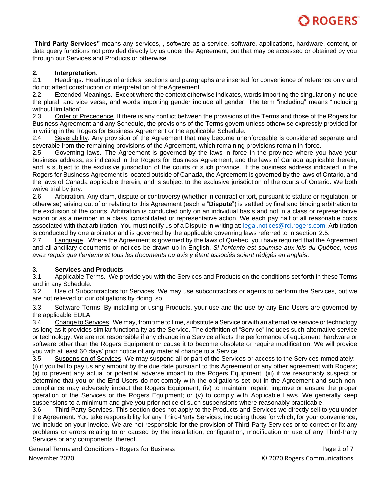"**Third Party Services"** means any services, , software-as-a-service, software, applications, hardware, content, or data query functions not provided directly by us under the Agreement, but that may be accessed or obtained by you through our Services and Products or otherwise.

# **2. Interpretation**.

2.1. Headings. Headings of articles, sections and paragraphs are inserted for convenience of reference only and do not affect construction or interpretation of theAgreement.

2.2. Extended Meanings. Except where the context otherwise indicates, words importing the singular only include the plural, and vice versa, and words importing gender include all gender. The term "including" means "including without limitation".

2.3. Order of Precedence. If there is any conflict between the provisions of the Terms and those of the Rogers for Business Agreement and any Schedule, the provisions of the Terms govern unless otherwise expressly provided for in writing in the Rogers for Business Agreement or the applicable Schedule.

2.4. Severability. Any provision of the Agreement that may become unenforceable is considered separate and severable from the remaining provisions of the Agreement, which remaining provisions remain in force.

2.5. Governing laws. The Agreement is governed by the laws in force in the province where you have your business address, as indicated in the Rogers for Business Agreement, and the laws of Canada applicable therein, and is subject to the exclusive jurisdiction of the courts of such province. If the business address indicated in the Rogers for Business Agreement is located outside of Canada, the Agreement is governed by the laws of Ontario, and the laws of Canada applicable therein, and is subject to the exclusive jurisdiction of the courts of Ontario. We both waive trial by jury.

2.6. Arbitration. Any claim, dispute or controversy (whether in contract or tort, pursuant to statute or regulation, or otherwise) arising out of or relating to this Agreement (each a "**Dispute**") is settled by final and binding arbitration to the exclusion of the courts. Arbitration is conducted only on an individual basis and not in a class or representative action or as a member in a class, consolidated or representative action. We each pay half of all reasonable costs associated with that arbitration. You must notify us of a Dispute in writing at: [legal.notices@rci.rogers.com. A](mailto:legal.notices@rci.rogers.com)rbitration is conducted by one arbitrator and is governed by the applicable governing laws referred to in section 2.5.

2.7. Language. Where the Agreement is governed by the laws of Québec, you have required that the Agreement and all ancillary documents or notices be drawn up in English. *Si l'entente est soumise aux lois du Québec, vous avez requis que l'entente et tous les documents ou avis y étant associés soient rédigés en anglais*.

# **3. Services and Products**

3.1. Applicable Terms. We provide you with the Services and Products on the conditions set forth in these Terms and in any Schedule.

3.2. Use of Subcontractors for Services. We may use subcontractors or agents to perform the Services, but we are not relieved of our obligations by doing so.

3.3. Software Terms. By installing or using Products, your use and the use by any End Users are governed by the applicable EULA.

3.4. Change to Services. We may, from time to time, substitute a Service or with an alternative service or technology as long as it provides similar functionality as the Service. The definition of "Service" includes such alternative service or technology. We are not responsible if any change in a Service affects the performance of equipment, hardware or software other than the Rogers Equipment or cause it to become obsolete or require modification. We will provide you with at least 60 days' prior notice of any material change to a Service.

3.5. Suspension of Services. We may suspend all or part of the Services or access to the Servicesimmediately: (i) if you fail to pay us any amount by the due date pursuant to this Agreement or any other agreement with Rogers; (ii) to prevent any actual or potential adverse impact to the Rogers Equipment; (iii) if we reasonably suspect or determine that you or the End Users do not comply with the obligations set out in the Agreement and such noncompliance may adversely impact the Rogers Equipment; (iv) to maintain, repair, improve or ensure the proper operation of the Services or the Rogers Equipment; or (v) to comply with Applicable Laws. We generally keep suspensions to a minimum and give you prior notice of such suspensions where reasonably practicable.

3.6. Third Party Services. This section does not apply to the Products and Services we directly sell to you under the Agreement. You take responsibility for any Third-Party Services, including those for which, for your convenience, we include on your invoice. We are not responsible for the provision of Third-Party Services or to correct or fix any problems or errors relating to or caused by the installation, configuration, modification or use of any Third-Party Services or any components thereof.

General Terms and Conditions - Rogers for Business **Page 2 of 7** and 2 of 7

November 2020 © 2020 Rogers Communications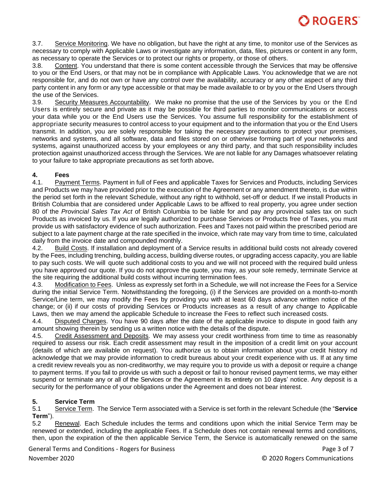3.7. Service Monitoring. We have no obligation, but have the right at any time, to monitor use of the Services as necessary to comply with Applicable Laws or investigate any information, data, files, pictures or content in any form, as necessary to operate the Services or to protect our rights or property, or those of others.

3.8. Content. You understand that there is some content accessible through the Services that may be offensive to you or the End Users, or that may not be in compliance with Applicable Laws. You acknowledge that we are not responsible for, and do not own or have any control over the availability, accuracy or any other aspect of any third party content in any form or any type accessible or that may be made available to or by you or the End Users through the use of the Services.

3.9. Security Measures Accountability. We make no promise that the use of the Services by you or the End Users is entirely secure and private as it may be possible for third parties to monitor communications or access your data while you or the End Users use the Services. You assume full responsibility for the establishment of appropriate security measures to control access to your equipment and to the information that you or the End Users transmit. In addition, you are solely responsible for taking the necessary precautions to protect your premises, networks and systems, and all software, data and files stored on or otherwise forming part of your networks and systems, against unauthorized access by your employees or any third party, and that such responsibility includes protection against unauthorized access through the Services. We are not liable for any Damages whatsoever relating to your failure to take appropriate precautions as set forth above**.**

# **4. Fees**

4.1. Payment Terms. Payment in full of Fees and applicable Taxes for Services and Products, including Services and Products we may have provided prior to the execution of the Agreement or any amendment thereto, is due within the period set forth in the relevant Schedule, without any right to withhold, set-off or deduct. If we install Products in British Columbia that are considered under Applicable Laws to be affixed to real property, you agree under section 80 of the *Provincial Sales Tax Act* of British Columbia to be liable for and pay any provincial sales tax on such Products as invoiced by us. If you are legally authorized to purchase Services or Products free of Taxes, you must provide us with satisfactory evidence of such authorization. Fees and Taxes not paid within the prescribed period are subject to a late payment charge at the rate specified in the invoice, which rate may vary from time to time, calculated daily from the invoice date and compounded monthly.

4.2. Build Costs. If installation and deployment of a Service results in additional build costs not already covered by the Fees, including trenching, building access, building diverse routes, or upgrading access capacity, you are liable to pay such costs. We will quote such additional costs to you and we will not proceed with the required build unless you have approved our quote. If you do not approve the quote, you may, as your sole remedy, terminate Service at the site requiring the additional build costs without incurring termination fees.

4.3. Modification to Fees. Unless as expressly set forth in a Schedule, we will not increase the Fees for a Service during the initial Service Term. Notwithstanding the foregoing, (i) if the Services are provided on a month-to-month Service/Line term, we may modify the Fees by providing you with at least 60 days advance written notice of the change; or (ii) if our costs of providing Services or Products increases as a result of any change to Applicable Laws, then we may amend the applicable Schedule to increase the Fees to reflect such increased costs.

4.4. Disputed Charges. You have 90 days after the date of the applicable invoice to dispute in good faith any amount showing therein by sending us a written notice with the details of the dispute.

4.5. Credit Assessment and Deposits. We may assess your credit worthiness from time to time as reasonably required to assess our risk. Each credit assessment may result in the imposition of a credit limit on your account (details of which are available on request). You authorize us to obtain information about your credit history nd acknowledge that we may provide information to credit bureaus about your credit experience with us. If at any time a credit review reveals you as non-creditworthy, we may require you to provide us with a deposit or require a change to payment terms. If you fail to provide us with such a deposit or fail to honour revised payment terms, we may either suspend or terminate any or all of the Services or the Agreement in its entirety on 10 days' notice. Any deposit is a security for the performance of your obligations under the Agreement and does not bear interest.

# **5. Service Term**

5.1 Service Term. The Service Term associated with a Service is set forth in the relevant Schedule (the "**Service Term**").

5.2 Renewal. Each Schedule includes the terms and conditions upon which the initial Service Term may be renewed or extended, including the applicable Fees. If a Schedule does not contain renewal terms and conditions, then, upon the expiration of the then applicable Service Term, the Service is automatically renewed on the same

General Terms and Conditions - Rogers for Business **Page 1 and 2008** Page 3 of 7 November 2020 © 2020 Rogers Communications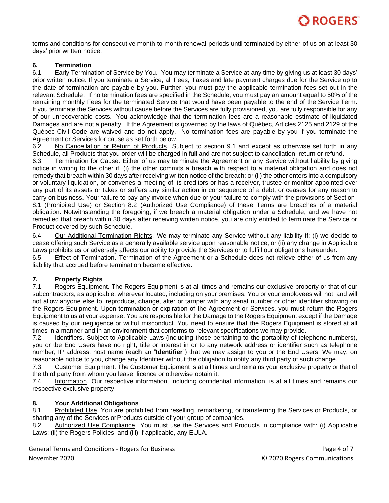terms and conditions for consecutive month-to-month renewal periods until terminated by either of us on at least 30 days' prior written notice.

#### **6. Termination**

6.1. Early Termination of Service by You. You may terminate a Service at any time by giving us at least 30 days' prior written notice. If you terminate a Service, all Fees, Taxes and late payment charges due for the Service up to the date of termination are payable by you. Further, you must pay the applicable termination fees set out in the relevant Schedule. If no termination fees are specified in the Schedule, you must pay an amount equal to 50% of the remaining monthly Fees for the terminated Service that would have been payable to the end of the Service Term. If you terminate the Services without cause before the Services are fully provisioned, you are fully responsible for any of our unrecoverable costs. You acknowledge that the termination fees are a reasonable estimate of liquidated Damages and are not a penalty. If the Agreement is governed by the laws of Québec, Articles 2125 and 2129 of the Québec Civil Code are waived and do not apply. No termination fees are payable by you if you terminate the Agreement or Services for cause as set forth below.

6.2. No Cancellation or Return of Products. Subject to section 9.1 and except as otherwise set forth in any Schedule, all Products that you order will be charged in full and are not subject to cancellation, return or refund.

6.3. Termination for Cause. Either of us may terminate the Agreement or any Service without liability by giving notice in writing to the other if: (i) the other commits a breach with respect to a material obligation and does not remedy that breach within 30 days after receiving written notice of the breach; or (ii) the other enters into a compulsory or voluntary liquidation, or convenes a meeting of its creditors or has a receiver, trustee or monitor appointed over any part of its assets or takes or suffers any similar action in consequence of a debt, or ceases for any reason to carry on business. Your failure to pay any invoice when due or your failure to comply with the provisions of Section 8.1 (Prohibited Use) or Section 8.2 (Authorized Use Compliance) of these Terms are breaches of a material obligation. Notwithstanding the foregoing, if we breach a material obligation under a Schedule, and we have not remedied that breach within 30 days after receiving written notice, you are only entitled to terminate the Service or Product covered by such Schedule.

6.4. Our Additional Termination Rights. We may terminate any Service without any liability if: (i) we decide to cease offering such Service as a generally available service upon reasonable notice; or (ii) any change in Applicable Laws prohibits us or adversely affects our ability to provide the Services or to fulfill our obligations hereunder.

6.5. Effect of Termination. Termination of the Agreement or a Schedule does not relieve either of us from any liability that accrued before termination became effective.

# **7. Property Rights**

7.1. Rogers Equipment. The Rogers Equipment is at all times and remains our exclusive property or that of our subcontractors, as applicable, wherever located, including on your premises. You or your employees will not, and will not allow anyone else to, reproduce, change, alter or tamper with any serial number or other identifier showing on the Rogers Equipment. Upon termination or expiration of the Agreement or Services, you must return the Rogers Equipment to us at your expense. You are responsible for the Damage to the Rogers Equipment except if the Damage is caused by our negligence or willful misconduct. You need to ensure that the Rogers Equipment is stored at all times in a manner and in an environment that conforms to relevant specifications we may provide.

7.2. Identifiers. Subject to Applicable Laws (including those pertaining to the portability of telephone numbers), you or tbe End Users have no right, title or interest in or to any network address or identifier such as telephone number, IP address, host name (each an "**Identifier**") that we may assign to you or the End Users. We may, on reasonable notice to you, change any Identifier without the obligation to notify any third party of such change.

7.3. Customer Equipment. The Customer Equipment is at all times and remains your exclusive property or that of the third party from whom you lease, licence or otherwise obtain it.

7.4. Information. Our respective information, including confidential information, is at all times and remains our respective exclusive property.

# **8. Your Additional Obligations**

8.1. Prohibited Use. You are prohibited from reselling, remarketing, or transferring the Services or Products, or sharing any of the Services orProducts outside of your group of companies.

8.2. Authorized Use Compliance. You must use the Services and Products in compliance with: (i) Applicable Laws; (ii) the Rogers Policies; and (iii) if applicable, any EULA.

General Terms and Conditions - Rogers for Business **Page 4 of 7** and 2008 and 2012 and 2014 and 2014 and 2014 and 201 November 2020 © 2020 Rogers Communications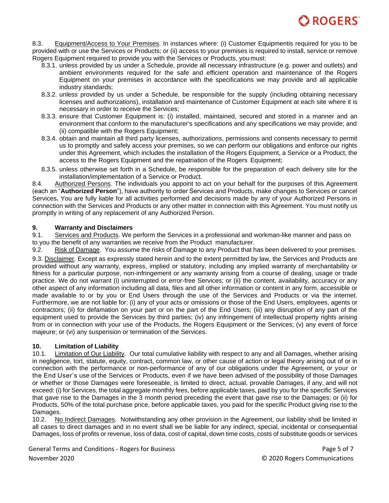

8.3. Equipment/Access to Your Premises. In instances where: (i) Customer Equipmentis required for you to be provided with or use the Services or Products; or (ii) access to your premises is required to install, service or remove Rogers Equipment required to provide you with the Services or Products, you must:

- 8.3.1. unless provided by us under a Schedule, provide all necessary infrastructure (e.g. power and outlets) and ambient environments required for the safe and efficient operation and maintenance of the Rogers Equipment on your premises in accordance with the specifications we may provide and all applicable industry standards;
- 8.3.2. unless provided by us under a Schedule, be responsible for the supply (including obtaining necessary licenses and authorizations), installation and maintenance of Customer Equipment at each site where it is necessary in order to receive the Services;
- 8.3.3. ensure that Customer Equipment is: (i) installed, maintained, secured and stored in a manner and an environment that conform to the manufacturer's specifications and any specifications we may provide; and (ii) compatible with the Rogers Equipment;
- 8.3.4. obtain and maintain all third party licenses, authorizations, permissions and consents necessary to permit us to promptly and safely access your premises, so we can perform our obligations and enforce our rights under this Agreement, which includes the installation of the Rogers Equipment, a Service or a Product, the access to the Rogers Equipment and the repatriation of the Rogers Equipment;
- 8.3.5. unless otherwise set forth in a Schedule, be responsible for the preparation of each delivery site for the installation/implementation of a Service or Product.

8.4. Authorized Persons. The individuals you appoint to act on your behalf for the purposes of this Agreement (each an "**Authorized Person**"), have authority to order Services and Products, make changes to Services or cancel Services**.** You are fully liable for all activities performed and decisions made by any of your Authorized Persons in connection with the Services and Products or any other matter in connection with this Agreement. You must notify us promptly in writing of any replacement of any Authorized Person.

# **9. Warranty and Disclaimers**

9.1. Services and Products. We perform the Services in a professional and workman-like manner and pass on to you the benefit of any warranties we receive from the Product manufacturer.

9.2. Risk of Damage. You assume the risks of Damage to any Product that has been delivered to your premises.

9.3. Disclaimer. Except as expressly stated herein and to the extent permitted by law, the Services and Products are provided without any warranty, express, implied or statutory, including any implied warranty of merchantability or fitness for a particular purpose, non-infringement or any warranty arising from a course of dealing, usage or trade practice. We do not warrant (i) uninterrupted or error-free Services; or (ii) the content, availability, accuracy or any other aspect of any information including all data, files and all other information or content in any form, accessible or made available to or by you or End Users through the use of the Services and Products or via the internet. Furthermore, we are not liable for: (i) any of your acts or omissions or those of the End Users, employees, agents or contractors; (ii) for defamation on your part or on the part of the End Users; (iii) any disruption of any part of the equipment used to provide the Services by third parties; (iv) any infringement of intellectual property rights arising from or in connection with your use of the Products, the Rogers Equipment or the Services; (v) any event of force majeure; or (vi) any suspension or termination of the Services.

#### **10. Limitation of Liability**

10.1. Limitation of Our Liability. Our total cumulative liability with respect to any and all Damages, whether arising in negligence, tort, statute, equity, contract, common law, or other cause of action or legal theory arising out of or in connection with the performance or non-performance of any of our obligations under the Agreement, or your or the End User's use of the Services or Products, even if we have been advised of the possibility of those Damages or whether or those Damages were foreseeable, is limited to direct, actual, provable Damages, if any, and will not exceed: (i) for Services, the total aggregate monthly fees, before applicable taxes, paid by you for the specific Services that gave rise to the Damages in the 3 month period preceding the event that gave rise to the Damages; or (ii) for Products, 50% of the total purchase price, before applicable taxes, you paid for the specific Product giving rise to the Damages.

10.2. No Indirect Damages. Notwithstanding any other provision in the Agreement, our liability shall be limited in all cases to direct damages and in no event shall we be liable for any indirect, special, incidental or consequential Damages, loss of profits or revenue, loss of data, cost of capital, down time costs, costs of substitute goods or services

General Terms and Conditions - Rogers for Business **Page 1 and 2008** Page 5 of 7 November 2020 © 2020 Rogers Communications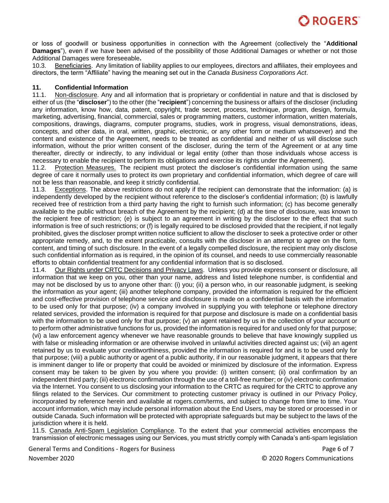

or loss of goodwill or business opportunities in connection with the Agreement (collectively the "**Additional Damages**"), even if we have been advised of the possibility of those Additional Damages or whether or not those Additional Damages were foreseeable**.**

10.3. Beneficiaries. Any limitation of liability applies to our employees, directors and affiliates, their employees and directors, the term "Affiliate" having the meaning set out in the *Canada Business Corporations Act*.

#### **11. Confidential Information**

11.1. Non-disclosure. Any and all information that is proprietary or confidential in nature and that is disclosed by either of us (the "**discloser**") to the other (the "**recipient**") concerning the business or affairs of the discloser (including any information, know how, data, patent, copyright, trade secret, process, technique, program, design, formula, marketing, advertising, financial, commercial, sales or programming matters, customer information, written materials, compositions, drawings, diagrams, computer programs, studies, work in progress, visual demonstrations, ideas, concepts, and other data, in oral, written, graphic, electronic, or any other form or medium whatsoever) and the content and existence of the Agreement, needs to be treated as confidential and neither of us will disclose such information, without the prior written consent of the discloser, during the term of the Agreement or at any time thereafter, directly or indirectly, to any individual or legal entity (other than those individuals whose access is necessary to enable the recipient to perform its obligations and exercise its rights under the Agreement).

11.2. Protection Measures. The recipient must protect the discloser's confidential information using the same degree of care it normally uses to protect its own proprietary and confidential information, which degree of care will not be less than reasonable, and keep it strictly confidential.

11.3. Exceptions. The above restrictions do not apply if the recipient can demonstrate that the information: (a) is independently developed by the recipient without reference to the discloser's confidential information; (b) is lawfully received free of restriction from a third party having the right to furnish such information; (c) has become generally available to the public without breach of the Agreement by the recipient; (d) at the time of disclosure, was known to the recipient free of restriction; (e) is subject to an agreement in writing by the discloser to the effect that such information is free of such restrictions; or (f) is legally required to be disclosed provided that the recipient, if not legally prohibited, gives the discloser prompt written notice sufficient to allow the discloser to seek a protective order or other appropriate remedy, and, to the extent practicable, consults with the discloser in an attempt to agree on the form, content, and timing of such disclosure. In the event of a legally compelled disclosure, the recipient may only disclose such confidential information as is required, in the opinion of its counsel, and needs to use commercially reasonable efforts to obtain confidential treatment for any confidential information that is so disclosed.

11.4. Our Rights under CRTC Decisions and Privacy Laws. Unless you provide express consent or disclosure, all information that we keep on you, other than your name, address and listed telephone number, is confidential and may not be disclosed by us to anyone other than: (i) you; (ii) a person who, in our reasonable judgment, is seeking the information as your agent; (iii) another telephone company, provided the information is required for the efficient and cost-effective provision of telephone service and disclosure is made on a confidential basis with the information to be used only for that purpose; (iv) a company involved in supplying you with telephone or telephone directory related services, provided the information is required for that purpose and disclosure is made on a confidential basis with the information to be used only for that purpose; (v) an agent retained by us in the collection of your account or to perform other administrative functions for us, provided the information is required for and used only for that purpose; (vi) a law enforcement agency whenever we have reasonable grounds to believe that have knowingly supplied us with false or misleading information or are otherwise involved in unlawful activities directed against us; (vii) an agent retained by us to evaluate your creditworthiness, provided the information is required for and is to be used only for that purpose; (viii) a public authority or agent of a public authority, if in our reasonable judgment, it appears that there is imminent danger to life or property that could be avoided or minimized by disclosure of the information. Express consent may be taken to be given by you where you provide: (i) written consent; (ii) oral confirmation by an independent third party; (iii) electronic confirmation through the use of a toll-free number; or (iv) electronic confirmation via the Internet. You consent to us disclosing your information to the CRTC as required for the CRTC to approve any filings related to the Services. Our commitment to protecting customer privacy is outlined in our Privacy Policy, incorporated by reference herein and available at rogers.com/terms, and subject to change from time to time. Your account information, which may include personal information about the End Users, may be stored or processed in or outside Canada. Such information will be protected with appropriate safeguards but may be subject to the laws of the jurisdiction where it is held.

11.5. Canada Anti-Spam Legislation Compliance. To the extent that your commercial activities encompass the transmission of electronic messages using our Services, you must strictly comply with Canada's anti-spam legislation

General Terms and Conditions - Rogers for Business **Page 6 of 7** and 2008 and 2008 and 2008 and 2008 and 2008 and 2008 and 2008 and 2008 and 2008 and 2008 and 2008 and 2008 and 2008 and 2008 and 2008 and 2008 and 2008 and November 2020 © 2020 Rogers Communications